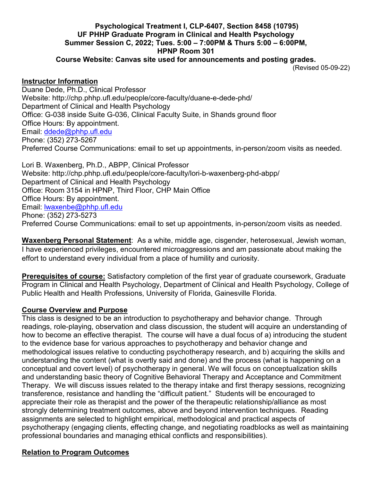#### **Psychological Treatment I, CLP-6407, Section 8458 (10795) UF PHHP Graduate Program in Clinical and Health Psychology Summer Session C, 2022; Tues. 5:00 – 7:00PM & Thurs 5:00 – 6:00PM, HPNP Room 301**

**Course Website: Canvas site used for announcements and posting grades.**

(Revised 05-09-22)

#### **Instructor Information**

Duane Dede, Ph.D., Clinical Professor Website: http://chp.phhp.ufl.edu/people/core-faculty/duane-e-dede-phd/ Department of Clinical and Health Psychology Office: G-038 inside Suite G-036, Clinical Faculty Suite, in Shands ground floor Office Hours: By appointment. Email: ddede@phhp.ufl.edu Phone: (352) 273-5267 Preferred Course Communications: email to set up appointments, in-person/zoom visits as needed.

Lori B. Waxenberg, Ph.D., ABPP, Clinical Professor Website: http://chp.phhp.ufl.edu/people/core-faculty/lori-b-waxenberg-phd-abpp/ Department of Clinical and Health Psychology Office: Room 3154 in HPNP, Third Floor, CHP Main Office Office Hours: By appointment. Email: **waxenbe@phhp.ufl.edu** Phone: (352) 273-5273 Preferred Course Communications: email to set up appointments, in-person/zoom visits as needed.

**Waxenberg Personal Statement**: As a white, middle age, cisgender, heterosexual, Jewish woman, I have experienced privileges, encountered microaggressions and am passionate about making the effort to understand every individual from a place of humility and curiosity.

**Prerequisites of course:** Satisfactory completion of the first year of graduate coursework, Graduate Program in Clinical and Health Psychology, Department of Clinical and Health Psychology, College of Public Health and Health Professions, University of Florida, Gainesville Florida.

## **Course Overview and Purpose**

This class is designed to be an introduction to psychotherapy and behavior change. Through readings, role-playing, observation and class discussion, the student will acquire an understanding of how to become an effective therapist. The course will have a dual focus of a) introducing the student to the evidence base for various approaches to psychotherapy and behavior change and methodological issues relative to conducting psychotherapy research, and b) acquiring the skills and understanding the content (what is overtly said and done) and the process (what is happening on a conceptual and covert level) of psychotherapy in general. We will focus on conceptualization skills and understanding basic theory of Cognitive Behavioral Therapy and Acceptance and Commitment Therapy. We will discuss issues related to the therapy intake and first therapy sessions, recognizing transference, resistance and handling the "difficult patient." Students will be encouraged to appreciate their role as therapist and the power of the therapeutic relationship/alliance as most strongly determining treatment outcomes, above and beyond intervention techniques. Reading assignments are selected to highlight empirical, methodological and practical aspects of psychotherapy (engaging clients, effecting change, and negotiating roadblocks as well as maintaining professional boundaries and managing ethical conflicts and responsibilities).

## **Relation to Program Outcomes**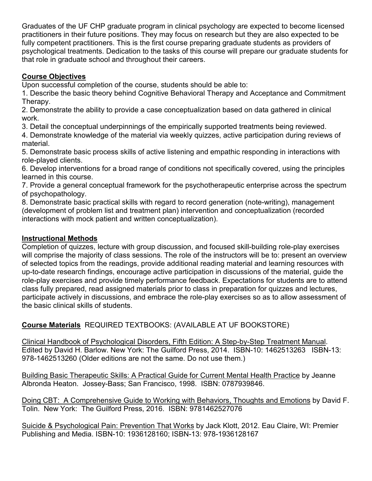Graduates of the UF CHP graduate program in clinical psychology are expected to become licensed practitioners in their future positions. They may focus on research but they are also expected to be fully competent practitioners. This is the first course preparing graduate students as providers of psychological treatments. Dedication to the tasks of this course will prepare our graduate students for that role in graduate school and throughout their careers.

# **Course Objectives**

Upon successful completion of the course, students should be able to:

1. Describe the basic theory behind Cognitive Behavioral Therapy and Acceptance and Commitment Therapy.

2. Demonstrate the ability to provide a case conceptualization based on data gathered in clinical work.

3. Detail the conceptual underpinnings of the empirically supported treatments being reviewed.

4. Demonstrate knowledge of the material via weekly quizzes, active participation during reviews of material.

5. Demonstrate basic process skills of active listening and empathic responding in interactions with role-played clients.

6. Develop interventions for a broad range of conditions not specifically covered, using the principles learned in this course.

7. Provide a general conceptual framework for the psychotherapeutic enterprise across the spectrum of psychopathology.

8. Demonstrate basic practical skills with regard to record generation (note-writing), management (development of problem list and treatment plan) intervention and conceptualization (recorded interactions with mock patient and written conceptualization).

# **Instructional Methods**

Completion of quizzes, lecture with group discussion, and focused skill-building role-play exercises will comprise the majority of class sessions. The role of the instructors will be to: present an overview of selected topics from the readings, provide additional reading material and learning resources with up-to-date research findings, encourage active participation in discussions of the material, guide the role-play exercises and provide timely performance feedback. Expectations for students are to attend class fully prepared, read assigned materials prior to class in preparation for quizzes and lectures, participate actively in discussions, and embrace the role-play exercises so as to allow assessment of the basic clinical skills of students.

**Course Materials** REQUIRED TEXTBOOKS: (AVAILABLE AT UF BOOKSTORE)

Clinical Handbook of Psychological Disorders, Fifth Edition: A Step-by-Step Treatment Manual. Edited by David H. Barlow. New York: The Guilford Press, 2014. ISBN-10: 1462513263 ISBN-13: 978-1462513260 (Older editions are not the same. Do not use them.)

Building Basic Therapeutic Skills: A Practical Guide for Current Mental Health Practice by Jeanne Albronda Heaton. Jossey-Bass; San Francisco, 1998. ISBN: 0787939846.

Doing CBT: A Comprehensive Guide to Working with Behaviors, Thoughts and Emotions by David F. Tolin. New York: The Guilford Press, 2016. ISBN: 9781462527076

Suicide & Psychological Pain: Prevention That Works by Jack Klott, 2012. Eau Claire, WI: Premier Publishing and Media. ISBN-10: 1936128160; ISBN-13: 978-1936128167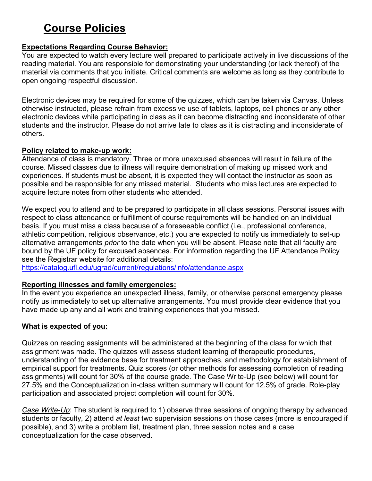# **Course Policies**

## **Expectations Regarding Course Behavior:**

You are expected to watch every lecture well prepared to participate actively in live discussions of the reading material. You are responsible for demonstrating your understanding (or lack thereof) of the material via comments that you initiate. Critical comments are welcome as long as they contribute to open ongoing respectful discussion.

Electronic devices may be required for some of the quizzes, which can be taken via Canvas. Unless otherwise instructed, please refrain from excessive use of tablets, laptops, cell phones or any other electronic devices while participating in class as it can become distracting and inconsiderate of other students and the instructor. Please do not arrive late to class as it is distracting and inconsiderate of others.

#### **Policy related to make-up work:**

Attendance of class is mandatory. Three or more unexcused absences will result in failure of the course. Missed classes due to illness will require demonstration of making up missed work and experiences. If students must be absent, it is expected they will contact the instructor as soon as possible and be responsible for any missed material. Students who miss lectures are expected to acquire lecture notes from other students who attended.

We expect you to attend and to be prepared to participate in all class sessions. Personal issues with respect to class attendance or fulfillment of course requirements will be handled on an individual basis. If you must miss a class because of a foreseeable conflict (i.e., professional conference, athletic competition, religious observance, etc.) you are expected to notify us immediately to set-up alternative arrangements *prior* to the date when you will be absent. Please note that all faculty are bound by the UF policy for excused absences. For information regarding the UF Attendance Policy see the Registrar website for additional details:

https://catalog.ufl.edu/ugrad/current/regulations/info/attendance.aspx

#### **Reporting illnesses and family emergencies:**

In the event you experience an unexpected illness, family, or otherwise personal emergency please notify us immediately to set up alternative arrangements. You must provide clear evidence that you have made up any and all work and training experiences that you missed.

#### **What is expected of you:**

Quizzes on reading assignments will be administered at the beginning of the class for which that assignment was made. The quizzes will assess student learning of therapeutic procedures, understanding of the evidence base for treatment approaches, and methodology for establishment of empirical support for treatments. Quiz scores (or other methods for assessing completion of reading assignments) will count for 30% of the course grade. The Case Write-Up (see below) will count for 27.5% and the Conceptualization in-class written summary will count for 12.5% of grade. Role-play participation and associated project completion will count for 30%.

*Case Write-Up*: The student is required to 1) observe three sessions of ongoing therapy by advanced students or faculty, 2) attend *at least* two supervision sessions on those cases (more is encouraged if possible), and 3) write a problem list, treatment plan, three session notes and a case conceptualization for the case observed.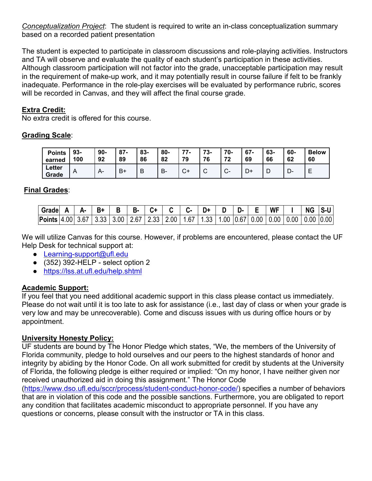*Conceptualization Project*: The student is required to write an in-class conceptualization summary based on a recorded patient presentation

The student is expected to participate in classroom discussions and role-playing activities. Instructors and TA will observe and evaluate the quality of each student's participation in these activities. Although classroom participation will not factor into the grade, unacceptable participation may result in the requirement of make-up work, and it may potentially result in course failure if felt to be frankly inadequate. Performance in the role-play exercises will be evaluated by performance rubric, scores will be recorded in Canvas, and they will affect the final course grade.

## **Extra Credit:**

No extra credit is offered for this course.

# **Grading Scale**:

| <b>Points</b>   | $93 -$         | $90 -$ | 07             | 83- | 80- | 77     | 73- | 70-    | $67 -$ | 63- | 60- | <b>Below</b> |
|-----------------|----------------|--------|----------------|-----|-----|--------|-----|--------|--------|-----|-----|--------------|
| earned          | 100            | 92     | 89             | 86  | 82  | 79     | 76  | 72     | 69     | 66  | 62  | 60           |
| Letter<br>Grade | $\overline{A}$ | A-     | B <sup>+</sup> | B   | В.  | $\sim$ | ັ   | $\sim$ | − ∪    | ┗   | − — | _            |

# **Final Grades**:

| Grade                               | Д.   |                      | В    | <b>B-</b> | ◠    |      | - 5  | D+   | . н | <b>WF</b>               | <b>NG</b>      | S-U |
|-------------------------------------|------|----------------------|------|-----------|------|------|------|------|-----|-------------------------|----------------|-----|
| $\vert$ Points $\vert$ 4.00 $\vert$ | 3.67 | $\vert$ 3.33 $\vert$ | 3.00 | 2.67      | 2.33 | 2.00 | 1.67 | 1.33 |     | 00   0.67   0.00   0.00 | 0.00 0.00 0.00 |     |

We will utilize Canvas for this course. However, if problems are encountered, please contact the UF Help Desk for technical support at:

- Learning-support@ufl.edu
- $\bullet$  (352) 392-HELP select option 2
- https://lss.at.ufl.edu/help.shtml

## **Academic Support:**

If you feel that you need additional academic support in this class please contact us immediately. Please do not wait until it is too late to ask for assistance (i.e., last day of class or when your grade is very low and may be unrecoverable). Come and discuss issues with us during office hours or by appointment.

## **University Honesty Policy:**

UF students are bound by The Honor Pledge which states, "We, the members of the University of Florida community, pledge to hold ourselves and our peers to the highest standards of honor and integrity by abiding by the Honor Code. On all work submitted for credit by students at the University of Florida, the following pledge is either required or implied: "On my honor, I have neither given nor received unauthorized aid in doing this assignment." The Honor Code

(https://www.dso.ufl.edu/sccr/process/student-conduct-honor-code/) specifies a number of behaviors that are in violation of this code and the possible sanctions. Furthermore, you are obligated to report any condition that facilitates academic misconduct to appropriate personnel. If you have any questions or concerns, please consult with the instructor or TA in this class.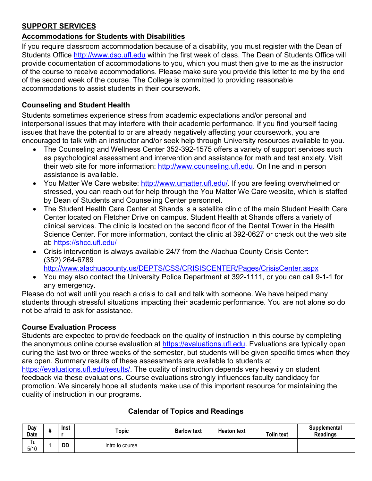# **SUPPORT SERVICES**

# **Accommodations for Students with Disabilities**

If you require classroom accommodation because of a disability, you must register with the Dean of Students Office http://www.dso.ufl.edu within the first week of class. The Dean of Students Office will provide documentation of accommodations to you, which you must then give to me as the instructor of the course to receive accommodations. Please make sure you provide this letter to me by the end of the second week of the course. The College is committed to providing reasonable accommodations to assist students in their coursework.

# **Counseling and Student Health**

Students sometimes experience stress from academic expectations and/or personal and interpersonal issues that may interfere with their academic performance. If you find yourself facing issues that have the potential to or are already negatively affecting your coursework, you are encouraged to talk with an instructor and/or seek help through University resources available to you.

- The Counseling and Wellness Center 352-392-1575 offers a variety of support services such as psychological assessment and intervention and assistance for math and test anxiety. Visit their web site for more information: http://www.counseling.ufl.edu. On line and in person assistance is available.
- You Matter We Care website: http://www.umatter.ufl.edu/. If you are feeling overwhelmed or stressed, you can reach out for help through the You Matter We Care website, which is staffed by Dean of Students and Counseling Center personnel.
- The Student Health Care Center at Shands is a satellite clinic of the main Student Health Care Center located on Fletcher Drive on campus. Student Health at Shands offers a variety of clinical services. The clinic is located on the second floor of the Dental Tower in the Health Science Center. For more information, contact the clinic at 392-0627 or check out the web site at: https://shcc.ufl.edu/
- Crisis intervention is always available 24/7 from the Alachua County Crisis Center: (352) 264-6789 http://www.alachuacounty.us/DEPTS/CSS/CRISISCENTER/Pages/CrisisCenter.aspx
- You may also contact the University Police Department at 392-1111, or you can call 9-1-1 for any emergency.

Please do not wait until you reach a crisis to call and talk with someone. We have helped many students through stressful situations impacting their academic performance. You are not alone so do not be afraid to ask for assistance.

## **Course Evaluation Process**

Students are expected to provide feedback on the quality of instruction in this course by completing the anonymous online course evaluation at https://evaluations.ufl.edu. Evaluations are typically open during the last two or three weeks of the semester, but students will be given specific times when they are open. Summary results of these assessments are available to students at https://evaluations.ufl.edu/results/. The quality of instruction depends very heavily on student

feedback via these evaluations. Course evaluations strongly influences faculty candidacy for promotion. We sincerely hope all students make use of this important resource for maintaining the quality of instruction in our programs.

| Day<br>Date | Inst | Topic            | <b>Barlow text</b> | <b>Heaton text</b> | <b>Tolin text</b> | <b>Supplemental</b><br>Readings |
|-------------|------|------------------|--------------------|--------------------|-------------------|---------------------------------|
| Tu<br>5/10  | DD   | Intro to course. |                    |                    |                   |                                 |

# **Calendar of Topics and Readings**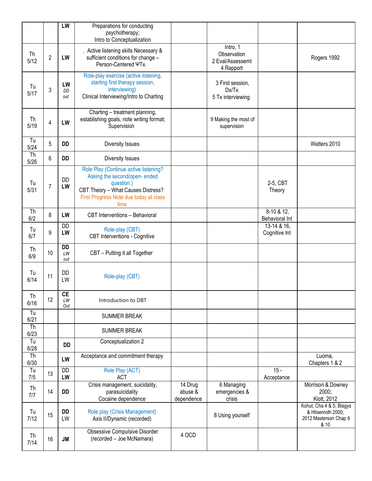|                                |                | LW                           | Preparations for conducting<br>psychotherapy;<br>Intro to Conceptualization                                                                                                 |                                  |                                                          |                                 |                                                                                 |
|--------------------------------|----------------|------------------------------|-----------------------------------------------------------------------------------------------------------------------------------------------------------------------------|----------------------------------|----------------------------------------------------------|---------------------------------|---------------------------------------------------------------------------------|
| <b>Th</b><br>5/12              | $\overline{2}$ | LW                           | . Active listening skills Necessary &<br>sufficient conditions for change -<br>Person-Centered ΨTx.                                                                         |                                  | Intro, 1<br>Observation<br>2 Eval/Assessemt<br>4 Rapport |                                 | Rogers 1992                                                                     |
| Tu<br>5/17                     | 3              | LW<br>DD<br>out              | Role-play exercise (active listening,<br>starting first therapy session,<br>interviewing)<br>Clinical Interviewing/Intro to Charting                                        |                                  | 3 First session,<br>Dx/Tx<br>5 Tx interviewing           |                                 |                                                                                 |
| Th<br>5/19                     | 4              | LW                           | Charting - treatment planning,<br>establishing goals, note writing format;<br>Supervision                                                                                   |                                  | 9 Making the most of<br>supervision                      |                                 |                                                                                 |
| Tu<br>5/24                     | 5              | <b>DD</b>                    | Diversity Issues                                                                                                                                                            |                                  |                                                          |                                 | Watters 2010                                                                    |
| Th<br>5/26                     | 6              | <b>DD</b>                    | Diversity Issues                                                                                                                                                            |                                  |                                                          |                                 |                                                                                 |
| Tu<br>5/31                     | $\overline{7}$ | DD<br>LW                     | Role Play (Continue active listening?<br>Asking the second/open-ended<br>question.)<br>CBT Theory - What Causes Distress?<br>First Progress Note due today at class<br>time |                                  |                                                          | 2-5, CBT<br>Theory              |                                                                                 |
| Th<br>6/2                      | 8              | LW                           | CBT Interventions - Behavioral                                                                                                                                              |                                  |                                                          | $8-10 & 12$ ,<br>Behavioral Int |                                                                                 |
| Tu<br>6/7                      | 9              | <b>DD</b><br>LW              | Role-play (CBT)<br><b>CBT</b> Interventions - Cognitive                                                                                                                     |                                  |                                                          | 13-14 & 16,<br>Cognitive Int    |                                                                                 |
| Th<br>6/9                      | 10             | <b>DD</b><br>LW<br>out       | CBT - Putting it all Together                                                                                                                                               |                                  |                                                          |                                 |                                                                                 |
| Tu<br>6/14                     | 11             | DD<br>LW                     | Role-play (CBT)                                                                                                                                                             |                                  |                                                          |                                 |                                                                                 |
| Th<br>6/16                     | 12             | $\overline{CE}$<br>LW<br>Out | Introduction to DBT                                                                                                                                                         |                                  |                                                          |                                 |                                                                                 |
| Tu<br>6/21                     |                |                              | <b>SUMMER BREAK</b>                                                                                                                                                         |                                  |                                                          |                                 |                                                                                 |
| Th<br>6/23                     |                |                              | <b>SUMMER BREAK</b>                                                                                                                                                         |                                  |                                                          |                                 |                                                                                 |
| Tu<br>6/28                     |                | <b>DD</b>                    | Conceptualization 2                                                                                                                                                         |                                  |                                                          |                                 |                                                                                 |
| $\overline{\text{Th}}$<br>6/30 |                | LW                           | Acceptance and commitment therapy                                                                                                                                           |                                  |                                                          |                                 | Luoma,<br>Chapters 1 & 2                                                        |
| Tu<br>7/5                      | 13             | <b>DD</b><br>LW              | Role Play (ACT)<br><b>ACT</b>                                                                                                                                               |                                  |                                                          | $15 -$<br>Acceptance            |                                                                                 |
| Th<br>7/7                      | 14             | DD                           | Crisis management, suicidality,<br>parasuicidality<br>Cocaine dependence                                                                                                    | 14 Drug<br>abuse &<br>dependence | 6 Managing<br>emergencies &<br>crisis                    |                                 | Morrison & Downey<br>2000;<br>Klott, 2012                                       |
| Tu<br>7/12                     | 15             | <b>DD</b><br>LW              | Role play (Crisis Management)<br>Axis II/Dynamic (recorded)                                                                                                                 |                                  | 8 Using yourself                                         |                                 | Kohut, Cha 4 & 5; Blagys<br>& Hilsenroth 2000;<br>2012 Masterson Chap 6<br>& 10 |
| Th<br>7/14                     | 16             | <b>JM</b>                    | Obsessive Compulsive Disorder<br>(recorded - Joe McNamara)                                                                                                                  | 4 OCD                            |                                                          |                                 |                                                                                 |